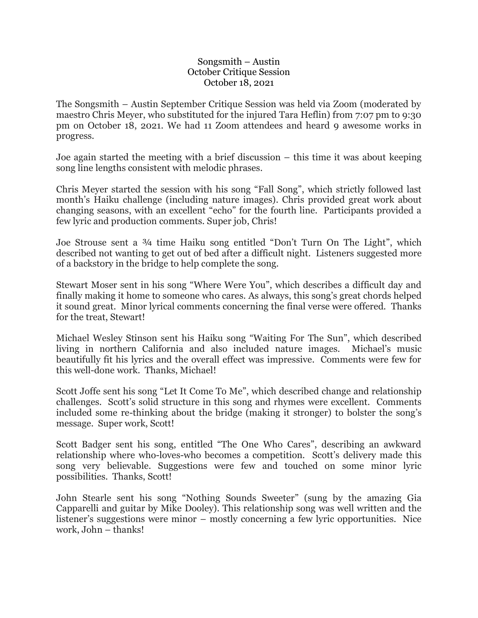## Songsmith – Austin October Critique Session October 18, 2021

The Songsmith – Austin September Critique Session was held via Zoom (moderated by maestro Chris Meyer, who substituted for the injured Tara Heflin) from 7:07 pm to 9:30 pm on October 18, 2021. We had 11 Zoom attendees and heard 9 awesome works in progress.

Joe again started the meeting with a brief discussion – this time it was about keeping song line lengths consistent with melodic phrases.

Chris Meyer started the session with his song "Fall Song", which strictly followed last month's Haiku challenge (including nature images). Chris provided great work about changing seasons, with an excellent "echo" for the fourth line. Participants provided a few lyric and production comments. Super job, Chris!

Joe Strouse sent a ¾ time Haiku song entitled "Don't Turn On The Light", which described not wanting to get out of bed after a difficult night. Listeners suggested more of a backstory in the bridge to help complete the song.

Stewart Moser sent in his song "Where Were You", which describes a difficult day and finally making it home to someone who cares. As always, this song's great chords helped it sound great. Minor lyrical comments concerning the final verse were offered. Thanks for the treat, Stewart!

Michael Wesley Stinson sent his Haiku song "Waiting For The Sun", which described living in northern California and also included nature images. Michael's music beautifully fit his lyrics and the overall effect was impressive. Comments were few for this well-done work. Thanks, Michael!

Scott Joffe sent his song "Let It Come To Me", which described change and relationship challenges. Scott's solid structure in this song and rhymes were excellent. Comments included some re-thinking about the bridge (making it stronger) to bolster the song's message. Super work, Scott!

Scott Badger sent his song, entitled "The One Who Cares", describing an awkward relationship where who-loves-who becomes a competition. Scott's delivery made this song very believable. Suggestions were few and touched on some minor lyric possibilities. Thanks, Scott!

John Stearle sent his song "Nothing Sounds Sweeter" (sung by the amazing Gia Capparelli and guitar by Mike Dooley). This relationship song was well written and the listener's suggestions were minor – mostly concerning a few lyric opportunities. Nice work, John – thanks!